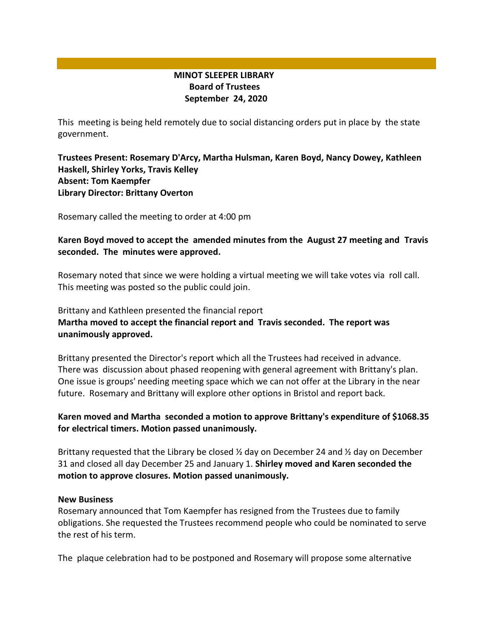# **MINOT SLEEPER LIBRARY Board of Trustees September 24, 2020**

This meeting is being held remotely due to social distancing orders put in place by the state government.

# **Trustees Present: Rosemary D'Arcy, Martha Hulsman, Karen Boyd, Nancy Dowey, Kathleen Haskell, Shirley Yorks, Travis Kelley Absent: Tom Kaempfer Library Director: Brittany Overton**

Rosemary called the meeting to order at 4:00 pm

# **Karen Boyd moved to accept the amended minutes from the August 27 meeting and Travis seconded. The minutes were approved.**

Rosemary noted that since we were holding a virtual meeting we will take votes via roll call. This meeting was posted so the public could join.

# Brittany and Kathleen presented the financial report **Martha moved to accept the financial report and Travis seconded. The report was unanimously approved.**

Brittany presented the Director's report which all the Trustees had received in advance. There was discussion about phased reopening with general agreement with Brittany's plan. One issue is groups' needing meeting space which we can not offer at the Library in the near future. Rosemary and Brittany will explore other options in Bristol and report back.

# **Karen moved and Martha seconded a motion to approve Brittany's expenditure of \$1068.35 for electrical timers. Motion passed unanimously.**

Brittany requested that the Library be closed  $\frac{1}{2}$  day on December 24 and  $\frac{1}{2}$  day on December 31 and closed all day December 25 and January 1. **Shirley moved and Karen seconded the motion to approve closures. Motion passed unanimously.**

### **New Business**

Rosemary announced that Tom Kaempfer has resigned from the Trustees due to family obligations. She requested the Trustees recommend people who could be nominated to serve the rest of his term.

The plaque celebration had to be postponed and Rosemary will propose some alternative